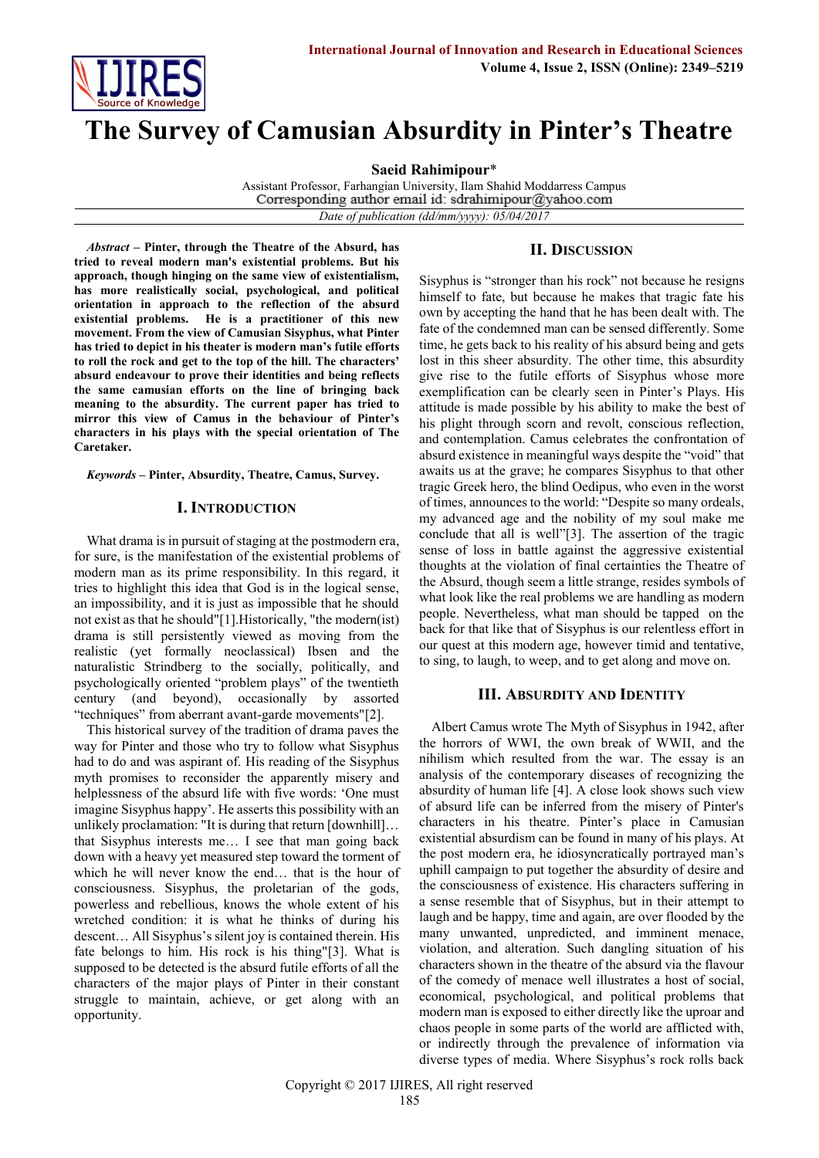

# **The Survey of Camusian Absurdity in Pinter's Theatre**

**Saeid Rahimipour**\*

Assistant Professor, Farhangian University, Ilam Shahid Moddarress Campus Corresponding author email id: sdrahimipour@yahoo.com *Date of publication (dd/mm/yyyy): 05/04/2017*

## **II. DISCUSSION**

*Abstract* **– Pinter, through the Theatre of the Absurd, has tried to reveal modern man's existential problems. But his approach, though hinging on the same view of existentialism, has more realistically social, psychological, and political orientation in approach to the reflection of the absurd existential problems. He is a practitioner of this new movement. From the view of Camusian Sisyphus, what Pinter has tried to depict in his theater is modern man's futile efforts to roll the rock and get to the top of the hill. The characters' absurd endeavour to prove their identities and being reflects the same camusian efforts on the line of bringing back meaning to the absurdity. The current paper has tried to mirror this view of Camus in the behaviour of Pinter's characters in his plays with the special orientation of The Caretaker.** 

*Keywords* **– Pinter, Absurdity, Theatre, Camus, Survey.**

#### **I. INTRODUCTION**

What drama is in pursuit of staging at the postmodern era, for sure, is the manifestation of the existential problems of modern man as its prime responsibility. In this regard, it tries to highlight this idea that God is in the logical sense, an impossibility, and it is just as impossible that he should not exist as that he should"[1].Historically, "the modern(ist) drama is still persistently viewed as moving from the realistic (yet formally neoclassical) Ibsen and the naturalistic Strindberg to the socially, politically, and psychologically oriented "problem plays" of the twentieth century (and beyond), occasionally by assorted "techniques" from aberrant avant-garde movements"[2].

This historical survey of the tradition of drama paves the way for Pinter and those who try to follow what Sisyphus had to do and was aspirant of. His reading of the Sisyphus myth promises to reconsider the apparently misery and helplessness of the absurd life with five words: 'One must imagine Sisyphus happy'. He asserts this possibility with an unlikely proclamation: "It is during that return [downhill]… that Sisyphus interests me… I see that man going back down with a heavy yet measured step toward the torment of which he will never know the end… that is the hour of consciousness. Sisyphus, the proletarian of the gods, powerless and rebellious, knows the whole extent of his wretched condition: it is what he thinks of during his descent… All Sisyphus's silent joy is contained therein. His fate belongs to him. His rock is his thing"[3]. What is supposed to be detected is the absurd futile efforts of all the characters of the major plays of Pinter in their constant struggle to maintain, achieve, or get along with an opportunity.

Sisyphus is "stronger than his rock" not because he resigns himself to fate, but because he makes that tragic fate his own by accepting the hand that he has been dealt with. The fate of the condemned man can be sensed differently. Some time, he gets back to his reality of his absurd being and gets lost in this sheer absurdity. The other time, this absurdity give rise to the futile efforts of Sisyphus whose more exemplification can be clearly seen in Pinter's Plays. His attitude is made possible by his ability to make the best of his plight through scorn and revolt, conscious reflection, and contemplation. Camus celebrates the confrontation of absurd existence in meaningful ways despite the "void" that awaits us at the grave; he compares Sisyphus to that other tragic Greek hero, the blind Oedipus, who even in the worst of times, announces to the world: "Despite so many ordeals, my advanced age and the nobility of my soul make me conclude that all is well"[3]. The assertion of the tragic sense of loss in battle against the aggressive existential thoughts at the violation of final certainties the Theatre of the Absurd, though seem a little strange, resides symbols of what look like the real problems we are handling as modern people. Nevertheless, what man should be tapped on the back for that like that of Sisyphus is our relentless effort in our quest at this modern age, however timid and tentative, to sing, to laugh, to weep, and to get along and move on.

## **III. ABSURDITY AND IDENTITY**

Albert Camus wrote The Myth of Sisyphus in 1942, after the horrors of WWI, the own break of WWII, and the nihilism which resulted from the war. The essay is an analysis of the contemporary diseases of recognizing the absurdity of human life [4]. A close look shows such view of absurd life can be inferred from the misery of Pinter's characters in his theatre. Pinter's place in Camusian existential absurdism can be found in many of his plays. At the post modern era, he idiosyncratically portrayed man's uphill campaign to put together the absurdity of desire and the consciousness of existence. His characters suffering in a sense resemble that of Sisyphus, but in their attempt to laugh and be happy, time and again, are over flooded by the many unwanted, unpredicted, and imminent menace, violation, and alteration. Such dangling situation of his characters shown in the theatre of the absurd via the flavour of the comedy of menace well illustrates a host of social, economical, psychological, and political problems that modern man is exposed to either directly like the uproar and chaos people in some parts of the world are afflicted with, or indirectly through the prevalence of information via diverse types of media. Where Sisyphus's rock rolls back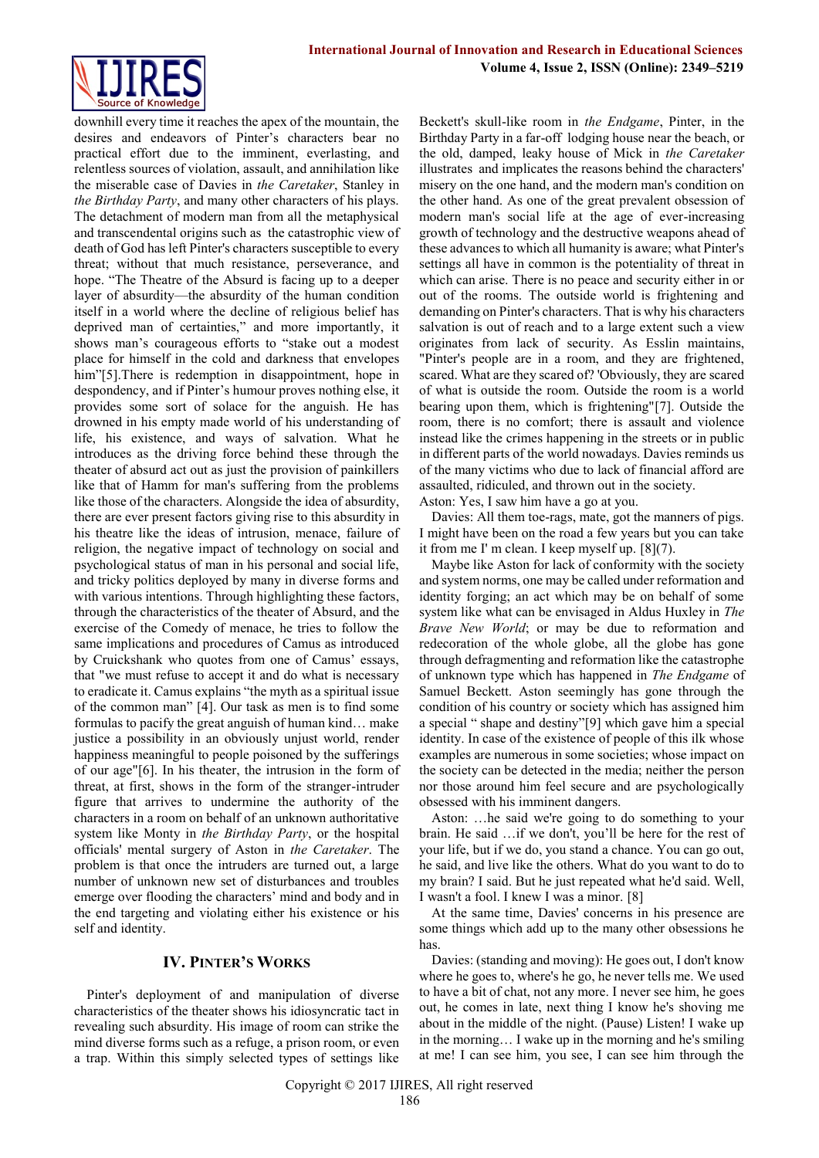

downhill every time it reaches the apex of the mountain, the desires and endeavors of Pinter's characters bear no practical effort due to the imminent, everlasting, and relentless sources of violation, assault, and annihilation like the miserable case of Davies in *the Caretaker*, Stanley in *the Birthday Party*, and many other characters of his plays. The detachment of modern man from all the metaphysical and transcendental origins such as the catastrophic view of death of God has left Pinter's characters susceptible to every threat; without that much resistance, perseverance, and hope. "The Theatre of the Absurd is facing up to a deeper layer of absurdity—the absurdity of the human condition itself in a world where the decline of religious belief has deprived man of certainties," and more importantly, it shows man's courageous efforts to "stake out a modest place for himself in the cold and darkness that envelopes him"[5]. There is redemption in disappointment, hope in despondency, and if Pinter's humour proves nothing else, it provides some sort of solace for the anguish. He has drowned in his empty made world of his understanding of life, his existence, and ways of salvation. What he introduces as the driving force behind these through the theater of absurd act out as just the provision of painkillers like that of Hamm for man's suffering from the problems like those of the characters. Alongside the idea of absurdity, there are ever present factors giving rise to this absurdity in his theatre like the ideas of intrusion, menace, failure of religion, the negative impact of technology on social and psychological status of man in his personal and social life, and tricky politics deployed by many in diverse forms and with various intentions. Through highlighting these factors, through the characteristics of the theater of Absurd, and the exercise of the Comedy of menace, he tries to follow the same implications and procedures of Camus as introduced by Cruickshank who quotes from one of Camus' essays, that "we must refuse to accept it and do what is necessary to eradicate it. Camus explains "the myth as a spiritual issue of the common man" [4]. Our task as men is to find some formulas to pacify the great anguish of human kind… make justice a possibility in an obviously unjust world, render happiness meaningful to people poisoned by the sufferings of our age"[6]. In his theater, the intrusion in the form of threat, at first, shows in the form of the stranger-intruder figure that arrives to undermine the authority of the characters in a room on behalf of an unknown authoritative system like Monty in *the Birthday Party*, or the hospital officials' mental surgery of Aston in *the Caretaker*. The problem is that once the intruders are turned out, a large number of unknown new set of disturbances and troubles emerge over flooding the characters' mind and body and in the end targeting and violating either his existence or his self and identity.

## **IV. PINTER'S WORKS**

Pinter's deployment of and manipulation of diverse characteristics of the theater shows his idiosyncratic tact in revealing such absurdity. His image of room can strike the mind diverse forms such as a refuge, a prison room, or even a trap. Within this simply selected types of settings like

Beckett's skull-like room in *the Endgame*, Pinter, in the Birthday Party in a far-off lodging house near the beach, or the old, damped, leaky house of Mick in *the Caretaker* illustrates and implicates the reasons behind the characters' misery on the one hand, and the modern man's condition on the other hand. As one of the great prevalent obsession of modern man's social life at the age of ever-increasing growth of technology and the destructive weapons ahead of these advances to which all humanity is aware; what Pinter's settings all have in common is the potentiality of threat in which can arise. There is no peace and security either in or out of the rooms. The outside world is frightening and demanding on Pinter's characters. That is why his characters salvation is out of reach and to a large extent such a view originates from lack of security. As Esslin maintains, "Pinter's people are in a room, and they are frightened, scared. What are they scared of? 'Obviously, they are scared of what is outside the room. Outside the room is a world bearing upon them, which is frightening"[7]. Outside the room, there is no comfort; there is assault and violence instead like the crimes happening in the streets or in public in different parts of the world nowadays. Davies reminds us of the many victims who due to lack of financial afford are assaulted, ridiculed, and thrown out in the society. Aston: Yes, I saw him have a go at you.

Davies: All them toe-rags, mate, got the manners of pigs. I might have been on the road a few years but you can take it from me I' m clean. I keep myself up. [8](7).

Maybe like Aston for lack of conformity with the society and system norms, one may be called under reformation and identity forging; an act which may be on behalf of some system like what can be envisaged in Aldus Huxley in *The Brave New World*; or may be due to reformation and redecoration of the whole globe, all the globe has gone through defragmenting and reformation like the catastrophe of unknown type which has happened in *The Endgame* of Samuel Beckett. Aston seemingly has gone through the condition of his country or society which has assigned him a special " shape and destiny"[9] which gave him a special identity. In case of the existence of people of this ilk whose examples are numerous in some societies; whose impact on the society can be detected in the media; neither the person nor those around him feel secure and are psychologically obsessed with his imminent dangers.

Aston: …he said we're going to do something to your brain. He said …if we don't, you'll be here for the rest of your life, but if we do, you stand a chance. You can go out, he said, and live like the others. What do you want to do to my brain? I said. But he just repeated what he'd said. Well, I wasn't a fool. I knew I was a minor. [8]

At the same time, Davies' concerns in his presence are some things which add up to the many other obsessions he has.

Davies: (standing and moving): He goes out, I don't know where he goes to, where's he go, he never tells me. We used to have a bit of chat, not any more. I never see him, he goes out, he comes in late, next thing I know he's shoving me about in the middle of the night. (Pause) Listen! I wake up in the morning… I wake up in the morning and he's smiling at me! I can see him, you see, I can see him through the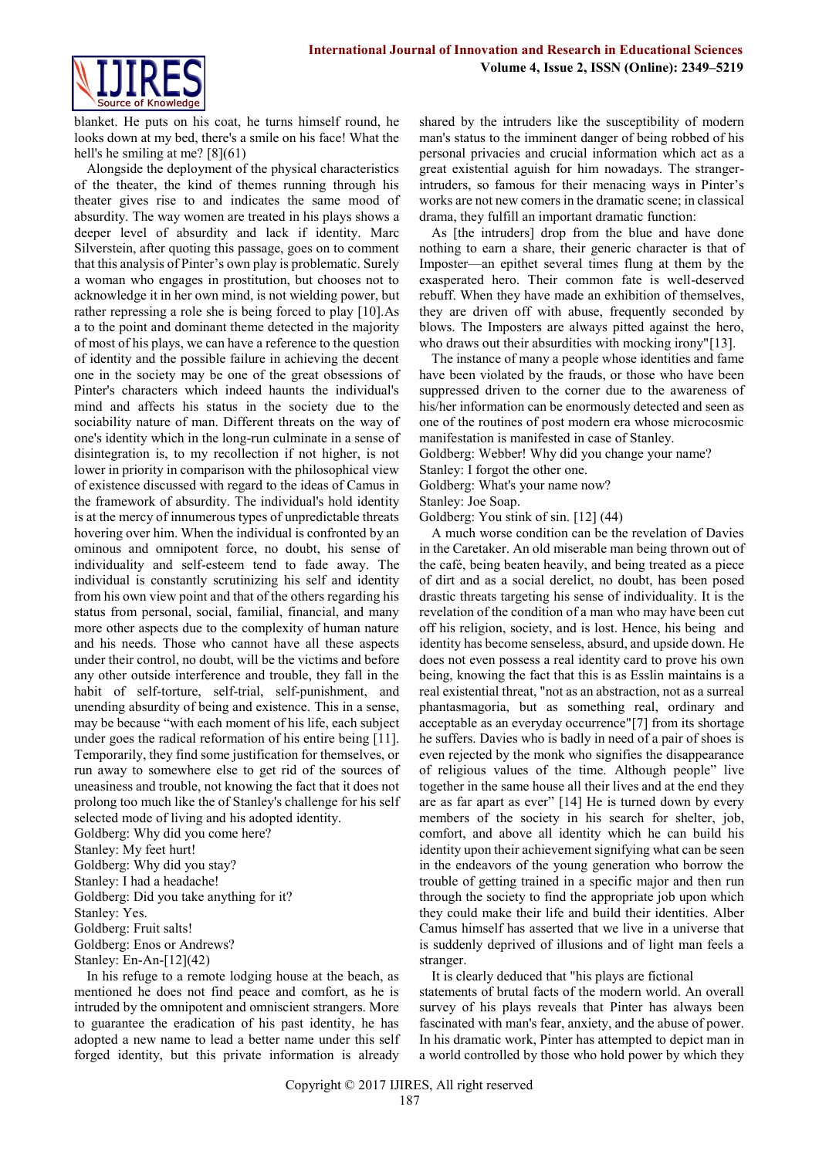

blanket. He puts on his coat, he turns himself round, he looks down at my bed, there's a smile on his face! What the hell's he smiling at me? [8](61)

Alongside the deployment of the physical characteristics of the theater, the kind of themes running through his theater gives rise to and indicates the same mood of absurdity. The way women are treated in his plays shows a deeper level of absurdity and lack if identity. Marc Silverstein, after quoting this passage, goes on to comment that this analysis of Pinter's own play is problematic. Surely a woman who engages in prostitution, but chooses not to acknowledge it in her own mind, is not wielding power, but rather repressing a role she is being forced to play [10].As a to the point and dominant theme detected in the majority of most of his plays, we can have a reference to the question of identity and the possible failure in achieving the decent one in the society may be one of the great obsessions of Pinter's characters which indeed haunts the individual's mind and affects his status in the society due to the sociability nature of man. Different threats on the way of one's identity which in the long-run culminate in a sense of disintegration is, to my recollection if not higher, is not lower in priority in comparison with the philosophical view of existence discussed with regard to the ideas of Camus in the framework of absurdity. The individual's hold identity is at the mercy of innumerous types of unpredictable threats hovering over him. When the individual is confronted by an ominous and omnipotent force, no doubt, his sense of individuality and self-esteem tend to fade away. The individual is constantly scrutinizing his self and identity from his own view point and that of the others regarding his status from personal, social, familial, financial, and many more other aspects due to the complexity of human nature and his needs. Those who cannot have all these aspects under their control, no doubt, will be the victims and before any other outside interference and trouble, they fall in the habit of self-torture, self-trial, self-punishment, and unending absurdity of being and existence. This in a sense, may be because "with each moment of his life, each subject under goes the radical reformation of his entire being [11]. Temporarily, they find some justification for themselves, or run away to somewhere else to get rid of the sources of uneasiness and trouble, not knowing the fact that it does not prolong too much like the of Stanley's challenge for his self selected mode of living and his adopted identity.

Goldberg: Why did you come here? Stanley: My feet hurt! Goldberg: Why did you stay? Stanley: I had a headache! Goldberg: Did you take anything for it? Stanley: Yes. Goldberg: Fruit salts! Goldberg: Enos or Andrews? Stanley: En-An-[12](42)

In his refuge to a remote lodging house at the beach, as mentioned he does not find peace and comfort, as he is intruded by the omnipotent and omniscient strangers. More to guarantee the eradication of his past identity, he has adopted a new name to lead a better name under this self forged identity, but this private information is already

shared by the intruders like the susceptibility of modern man's status to the imminent danger of being robbed of his personal privacies and crucial information which act as a great existential aguish for him nowadays. The strangerintruders, so famous for their menacing ways in Pinter's works are not new comers in the dramatic scene; in classical drama, they fulfill an important dramatic function:

As [the intruders] drop from the blue and have done nothing to earn a share, their generic character is that of Imposter—an epithet several times flung at them by the exasperated hero. Their common fate is well-deserved rebuff. When they have made an exhibition of themselves, they are driven off with abuse, frequently seconded by blows. The Imposters are always pitted against the hero, who draws out their absurdities with mocking irony"[13].

The instance of many a people whose identities and fame have been violated by the frauds, or those who have been suppressed driven to the corner due to the awareness of his/her information can be enormously detected and seen as one of the routines of post modern era whose microcosmic manifestation is manifested in case of Stanley.

Goldberg: Webber! Why did you change your name?

Stanley: I forgot the other one.

Goldberg: What's your name now?

Stanley: Joe Soap.

Goldberg: You stink of sin. [12] (44)

A much worse condition can be the revelation of Davies in the Caretaker. An old miserable man being thrown out of the café, being beaten heavily, and being treated as a piece of dirt and as a social derelict, no doubt, has been posed drastic threats targeting his sense of individuality. It is the revelation of the condition of a man who may have been cut off his religion, society, and is lost. Hence, his being and identity has become senseless, absurd, and upside down. He does not even possess a real identity card to prove his own being, knowing the fact that this is as Esslin maintains is a real existential threat, "not as an abstraction, not as a surreal phantasmagoria, but as something real, ordinary and acceptable as an everyday occurrence"[7] from its shortage he suffers. Davies who is badly in need of a pair of shoes is even rejected by the monk who signifies the disappearance of religious values of the time. Although people" live together in the same house all their lives and at the end they are as far apart as ever" [14] He is turned down by every members of the society in his search for shelter, job, comfort, and above all identity which he can build his identity upon their achievement signifying what can be seen in the endeavors of the young generation who borrow the trouble of getting trained in a specific major and then run through the society to find the appropriate job upon which they could make their life and build their identities. Alber Camus himself has asserted that we live in a universe that is suddenly deprived of illusions and of light man feels a stranger.

It is clearly deduced that "his plays are fictional

statements of brutal facts of the modern world. An overall survey of his plays reveals that Pinter has always been fascinated with man's fear, anxiety, and the abuse of power. In his dramatic work, Pinter has attempted to depict man in a world controlled by those who hold power by which they